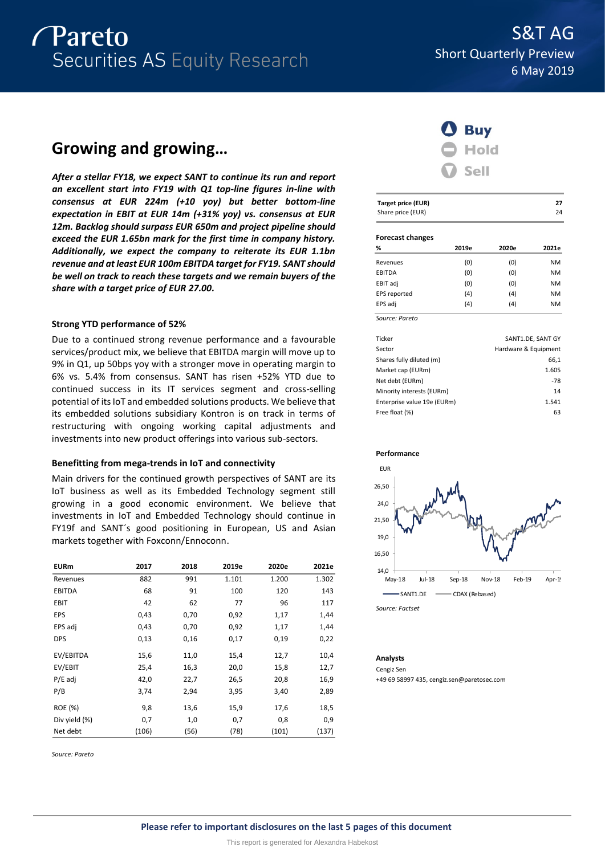# *Pareto* Securities AS Equity Research

# **Growing and growing…**

*After a stellar FY18, we expect SANT to continue its run and report an excellent start into FY19 with Q1 top-line figures in-line with consensus at EUR 224m (+10 yoy) but better bottom-line expectation in EBIT at EUR 14m (+31% yoy) vs. consensus at EUR 12m. Backlog should surpass EUR 650m and project pipeline should exceed the EUR 1.65bn mark for the first time in company history. Additionally, we expect the company to reiterate its EUR 1.1bn revenue and at least EUR 100m EBITDA target for FY19. SANT should be well on track to reach these targets and we remain buyers of the share with a target price of EUR 27.00.*

# **Strong YTD performance of 52%**

Due to a continued strong revenue performance and a favourable services/product mix, we believe that EBITDA margin will move up to 9% in Q1, up 50bps yoy with a stronger move in operating margin to 6% vs. 5.4% from consensus. SANT has risen +52% YTD due to continued success in its IT services segment and cross-selling potential of its IoT and embedded solutions products. We believe that its embedded solutions subsidiary Kontron is on track in terms of restructuring with ongoing working capital adjustments and investments into new product offerings into various sub-sectors.

# **Benefitting from mega-trends in IoT and connectivity**

Main drivers for the continued growth perspectives of SANT are its IoT business as well as its Embedded Technology segment still growing in a good economic environment. We believe that investments in IoT and Embedded Technology should continue in FY19f and SANT´s good positioning in European, US and Asian markets together with Foxconn/Ennoconn.

| <b>EURm</b>   | 2017  | 2018 | 2019e | 2020e | 2021e |
|---------------|-------|------|-------|-------|-------|
| Revenues      | 882   | 991  | 1.101 | 1.200 | 1.302 |
| <b>EBITDA</b> | 68    | 91   | 100   | 120   | 143   |
| <b>EBIT</b>   | 42    | 62   | 77    | 96    | 117   |
| EPS           | 0,43  | 0,70 | 0,92  | 1,17  | 1,44  |
| EPS adj       | 0,43  | 0,70 | 0,92  | 1,17  | 1,44  |
| <b>DPS</b>    | 0,13  | 0,16 | 0,17  | 0,19  | 0,22  |
| EV/EBITDA     | 15,6  | 11,0 | 15,4  | 12,7  | 10,4  |
| EV/EBIT       | 25,4  | 16,3 | 20,0  | 15,8  | 12,7  |
| $P/E$ adj     | 42,0  | 22,7 | 26,5  | 20,8  | 16,9  |
| P/B           | 3,74  | 2,94 | 3,95  | 3,40  | 2,89  |
| ROE (%)       | 9,8   | 13,6 | 15,9  | 17,6  | 18,5  |
| Div yield (%) | 0,7   | 1,0  | 0,7   | 0,8   | 0,9   |
| Net debt      | (106) | (56) | (78)  | (101) | (137) |

*Source: Pareto*



| <b>Target price (EUR)</b> |       |                      | 27                |
|---------------------------|-------|----------------------|-------------------|
| Share price (EUR)         |       |                      | 24                |
| <b>Forecast changes</b>   |       |                      |                   |
| %                         | 2019e | 2020e                | 2021e             |
| Revenues                  | (0)   | (0)                  | <b>NM</b>         |
| <b>EBITDA</b>             | (0)   | (0)                  | <b>NM</b>         |
| EBIT adj                  | (0)   | (0)                  | <b>NM</b>         |
| EPS reported              | (4)   | (4)                  | <b>NM</b>         |
| EPS adj                   | (4)   | (4)                  | <b>NM</b>         |
| Source: Pareto            |       |                      |                   |
| Ticker                    |       |                      | SANT1.DE, SANT GY |
| Sector                    |       | Hardware & Equipment |                   |
| Shares fully diluted (m)  |       |                      | 66,1              |
| Market cap (EURm)         |       |                      | 1.605             |

| Shares fully diluted (m)    | 66.1  |
|-----------------------------|-------|
| Market cap (EURm)           | 1.605 |
| Net debt (EURm)             | $-78$ |
| Minority interests (EURm)   | 14    |
| Enterprise value 19e (EURm) | 1.541 |
| Free float (%)              | 63    |
|                             |       |



*Source: Factset*

# **Analysts**

Cengiz Sen

+49 69 58997 435, cengiz.sen@paretosec.com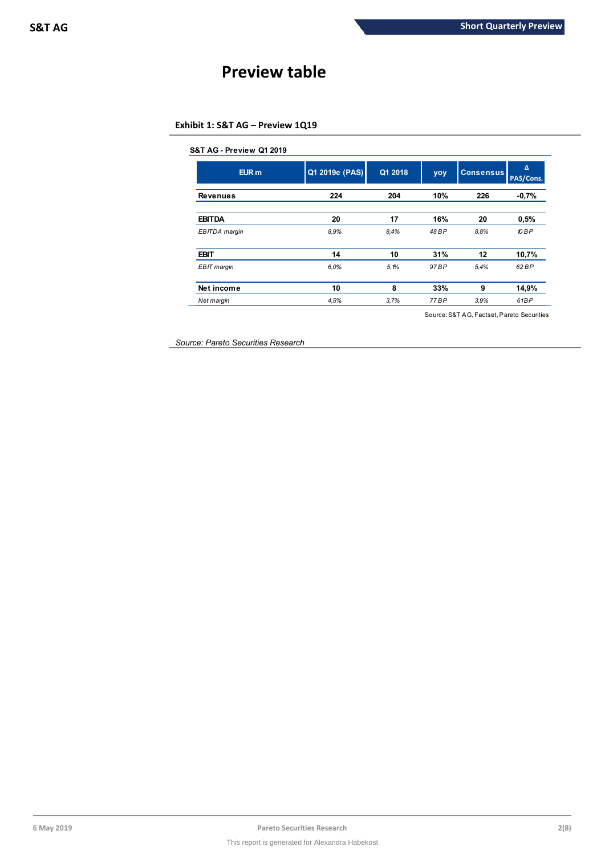# **Preview table**

# **Exhibit 1: S&T AG – Preview 1Q19**

| $E$ UR $m$      | Q1 2019e (PAS) | Q1 2018 | yoy   | <b>Consensus</b> | Δ<br>PAS/Cons. |
|-----------------|----------------|---------|-------|------------------|----------------|
| <b>Revenues</b> | 224            | 204     | 10%   | 226              | $-0.7%$        |
| <b>EBITDA</b>   | 20             | 17      | 16%   | 20               | 0.5%           |
| EBITDA margin   | 8.9%           | 8.4%    | 48 BP | 8.8%             | 10 BP          |
| <b>EBIT</b>     | 14             | 10      | 31%   | 12               | 10,7%          |
| EBIT margin     | 6.0%           | 5.1%    | 97 BP | 5,4%             | 62 BP          |
| Net income      | 10             | 8       | 33%   | 9                | 14,9%          |
| Net margin      | 4,5%           | 3.7%    | 77 BP | 3.9%             | 61BP           |

Source: S&T AG, Factset, Pareto Securities

*Source: Pareto Securities Research*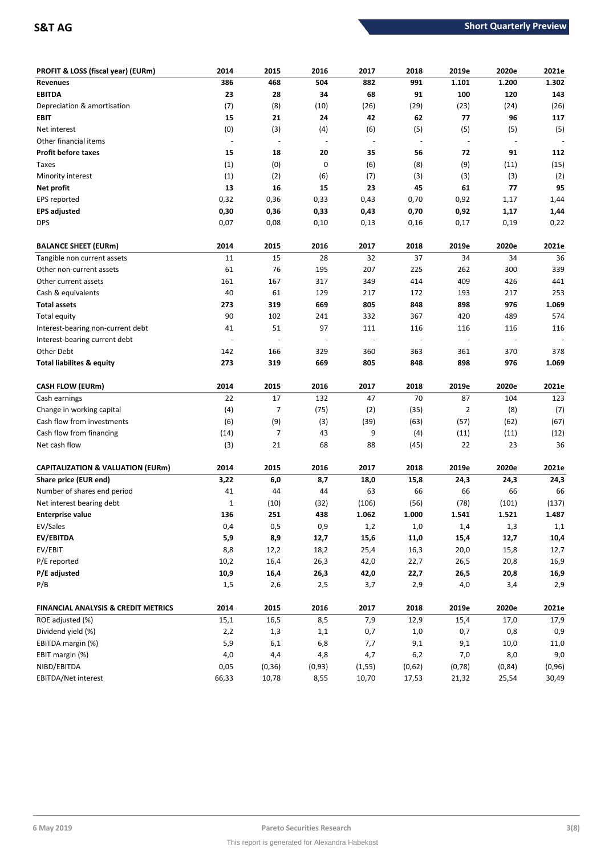| PROFIT & LOSS (fiscal year) (EURm)             | 2014           | 2015                     | 2016                     | 2017                     | 2018                     | 2019e                    | 2020e   | 2021e   |
|------------------------------------------------|----------------|--------------------------|--------------------------|--------------------------|--------------------------|--------------------------|---------|---------|
| <b>Revenues</b>                                | 386            | 468                      | 504                      | 882                      | 991                      | 1.101                    | 1.200   | 1.302   |
| <b>EBITDA</b>                                  | 23             | 28                       | 34                       | 68                       | 91                       | 100                      | 120     | 143     |
| Depreciation & amortisation                    | (7)            | (8)                      | (10)                     | (26)                     | (29)                     | (23)                     | (24)    | (26)    |
| EBIT                                           | 15             | 21                       | 24                       | 42                       | 62                       | 77                       | 96      | 117     |
| Net interest                                   | (0)            | (3)                      | (4)                      | (6)                      | (5)                      | (5)                      | (5)     | (5)     |
| Other financial items                          | $\blacksquare$ | $\overline{\phantom{a}}$ | $\overline{\phantom{a}}$ | $\overline{\phantom{a}}$ | $\overline{\phantom{a}}$ | $\overline{\phantom{a}}$ | ÷,      |         |
| <b>Profit before taxes</b>                     | 15             | 18                       | 20                       | 35                       | 56                       | 72                       | 91      | 112     |
| Taxes                                          | (1)            | (0)                      | 0                        | (6)                      | (8)                      | (9)                      | (11)    | (15)    |
| Minority interest                              | (1)            | (2)                      | (6)                      | (7)                      | (3)                      | (3)                      | (3)     | (2)     |
| Net profit                                     | 13             | 16                       | 15                       | 23                       | 45                       | 61                       | 77      | 95      |
| EPS reported                                   | 0,32           | 0,36                     | 0,33                     | 0,43                     | 0,70                     | 0,92                     | 1,17    | 1,44    |
| <b>EPS adjusted</b>                            | 0,30           | 0,36                     | 0,33                     | 0,43                     | 0,70                     | 0,92                     | 1,17    | 1,44    |
| <b>DPS</b>                                     | 0,07           | 0,08                     | 0,10                     | 0,13                     | 0,16                     | 0,17                     | 0,19    | 0,22    |
| <b>BALANCE SHEET (EURm)</b>                    | 2014           | 2015                     | 2016                     | 2017                     | 2018                     | 2019e                    | 2020e   | 2021e   |
| Tangible non current assets                    | 11             | 15                       | 28                       | 32                       | 37                       | 34                       | 34      | 36      |
| Other non-current assets                       | 61             | 76                       | 195                      | 207                      | 225                      | 262                      | 300     | 339     |
| Other current assets                           | 161            | 167                      | 317                      | 349                      | 414                      | 409                      | 426     | 441     |
| Cash & equivalents                             | 40             | 61                       | 129                      | 217                      | 172                      | 193                      | 217     | 253     |
| <b>Total assets</b>                            | 273            | 319                      | 669                      | 805                      | 848                      | 898                      | 976     | 1.069   |
| Total equity                                   | 90             | 102                      | 241                      | 332                      | 367                      | 420                      | 489     | 574     |
| Interest-bearing non-current debt              | 41             | 51                       | 97                       | 111                      | 116                      | 116                      | 116     | 116     |
| Interest-bearing current debt                  |                |                          |                          | $\overline{\phantom{a}}$ |                          |                          |         |         |
| Other Debt                                     | 142            | 166                      | 329                      | 360                      | 363                      | 361                      | 370     | 378     |
| <b>Total liabilites &amp; equity</b>           | 273            | 319                      | 669                      | 805                      | 848                      | 898                      | 976     | 1.069   |
| <b>CASH FLOW (EURm)</b>                        | 2014           | 2015                     | 2016                     | 2017                     | 2018                     | 2019e                    | 2020e   | 2021e   |
| Cash earnings                                  | 22             | 17                       | 132                      | 47                       | 70                       | 87                       | 104     | 123     |
| Change in working capital                      | (4)            | 7                        | (75)                     | (2)                      | (35)                     | 2                        | (8)     | (7)     |
| Cash flow from investments                     | (6)            | (9)                      | (3)                      | (39)                     | (63)                     | (57)                     | (62)    | (67)    |
| Cash flow from financing                       | (14)           | $\overline{7}$           | 43                       | 9                        | (4)                      | (11)                     | (11)    | (12)    |
| Net cash flow                                  | (3)            | 21                       | 68                       | 88                       | (45)                     | 22                       | 23      | 36      |
|                                                |                |                          |                          |                          |                          |                          |         |         |
| <b>CAPITALIZATION &amp; VALUATION (EURm)</b>   | 2014           | 2015                     | 2016                     | 2017                     | 2018                     | 2019e                    | 2020e   | 2021e   |
| Share price (EUR end)                          | 3,22           | 6,0                      | 8,7                      | 18,0                     | 15,8                     | 24,3                     | 24,3    | 24,3    |
| Number of shares end period                    | 41             | 44                       | 44                       | 63                       | 66                       | 66                       | 66      | 66      |
| Net interest bearing debt                      | $\mathbf{1}$   | (10)                     | (32)                     | (106)                    | (56)                     | (78)                     | (101)   | (137)   |
| <b>Enterprise value</b>                        | 136            | 251                      | 438                      | 1.062                    | 1.000                    | 1.541                    | 1.521   | 1.487   |
| EV/Sales                                       | 0,4            | 0,5                      | 0,9                      | 1,2                      | $1,0$                    | 1,4                      | 1,3     | 1,1     |
| EV/EBITDA                                      | 5,9            | 8,9                      | 12,7                     | 15,6                     | 11,0                     | 15,4                     | 12,7    | 10,4    |
| EV/EBIT                                        | 8,8            | 12,2                     | 18,2                     | 25,4                     | 16,3                     | 20,0                     | 15,8    | 12,7    |
| P/E reported                                   | 10,2           | 16,4                     | 26,3                     | 42,0                     | 22,7                     | 26,5                     | 20,8    | 16,9    |
| P/E adjusted                                   | 10,9           | 16,4                     | 26,3                     | 42,0                     | 22,7                     | 26,5                     | 20,8    | 16,9    |
| P/B                                            | 1,5            | 2,6                      | 2,5                      | 3,7                      | 2,9                      | 4,0                      | 3,4     | 2,9     |
| <b>FINANCIAL ANALYSIS &amp; CREDIT METRICS</b> | 2014           | 2015                     | 2016                     | 2017                     | 2018                     | 2019e                    | 2020e   | 2021e   |
| ROE adjusted (%)                               | 15,1           | 16,5                     | 8,5                      | 7,9                      | 12,9                     | 15,4                     | 17,0    | 17,9    |
| Dividend yield (%)                             | 2,2            | 1,3                      | 1,1                      | 0,7                      | $1,0$                    | 0,7                      | 0,8     | 0,9     |
| EBITDA margin (%)                              | 5,9            | 6,1                      | 6,8                      | 7,7                      | 9,1                      | 9,1                      | 10,0    | 11,0    |
| EBIT margin (%)                                | 4,0            | 4,4                      | 4,8                      | 4,7                      | 6,2                      | 7,0                      | 8,0     | 9,0     |
| NIBD/EBITDA                                    | 0,05           | (0, 36)                  | (0, 93)                  | (1, 55)                  | (0,62)                   | (0, 78)                  | (0, 84) | (0, 96) |
| EBITDA/Net interest                            | 66,33          | 10,78                    | 8,55                     | 10,70                    | 17,53                    | 21,32                    | 25,54   | 30,49   |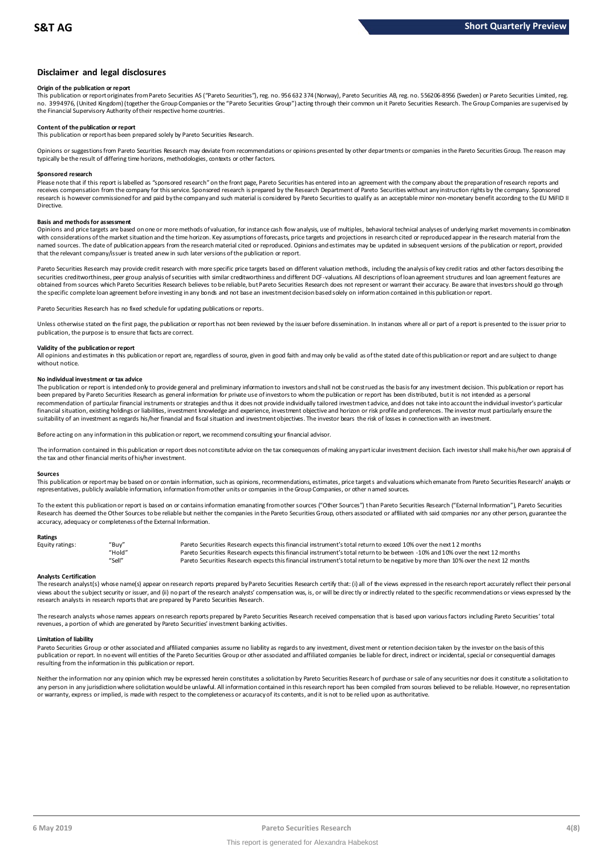# **Disclaimer and legal disclosures**

### **Origin of the publication or report**

This publication or report originates from Pareto Securities AS ("Pareto Securities"), reg. no. 956 632 374 (Norway), Pareto Securities AB, reg. no. 556206-8956 (Sweden) or Pareto Securities Limited, reg. no. 3994976, (United Kingdom) (together the Group Companies or the "Pareto Securities Group") acting through their common un it Pareto Securities Research. The Group Companies are supervised by the Financial Supervisory Authority of their respective home countries.

# **Content of the publication or report**

This publication or report has been prepared solely by Pareto Securities Research.

Opinions or suggestions from Pareto Securities Research may deviate from recommendations or opinions presented by other departments or companies in the Pareto Securities Group. The reason may typically be the result of differing time horizons, methodologies, contexts or other factors.

#### **Sponsored research**

Please note that if this report is labelled as "sponsored research" on the front page, Pareto Securities has entered into an agreement with the company about the preparation of research reports and receives compensation from the company for this service. Sponsored research is prepared by the Research Department of Pareto Securities without any instruction rights by the company. Sponsored research is however commissioned for and paid by the company and such material is considered by Pareto Securities to qualify as an acceptable minor non-monetary benefit according to the EU MiFID II Directive.

# **Basis and methods for assessment**

Opinions and price targets are based on one or more methods of valuation, for instance cash flow analysis, use of multiples, behavioral technical analyses of underlying market movements in combination with considerations of the market situation and the time horizon. Key assumptions of forecasts, price targets and projections in research cited or reproduced appear in the research material from the named sources. The date of publication appears from the research material cited or reproduced. Opinions and estimates may be updated in subsequent versions of the publication or report, provided in and social cited or repo that the relevant company/issuer is treated anew in such later versions of the publication or report.

Pareto Securities Research may provide credit research with more specific price targets based on different valuation methods, including the analysis of key credit ratios and other factors describing the securities creditworthiness, peer group analysis of securities with similar creditworthiness and different DCF-valuations. All descriptions of loan agreement structures and loan agreement features are obtained from sources which Pareto Securities Research believes to be reliable, but Pareto Securities Research does not represent or warrant their accuracy. Be aware that investors should go through the specific complete loan agreement before investing in any bonds and not base an investment decision based solely on information contained in this publication or report.

Pareto Securities Research has no fixed schedule for updating publications or reports.

Unless otherwise stated on the first page, the publication or report has not been reviewed by the issuer before dissemination. In instances where all or part of a report is presented to the issuer prior to publication, the purpose is to ensure that facts are correct.

#### **Validity of the publication or report**

All opinions and estimates in this publication or report are, regardless of source, given in good faith and may only be valid as of the stated date of this publication or report and are subject to change without notice.

#### **No individual investment or tax advice**

The publication or report is intended only to provide general and preliminary information to investors and shall not be construed as the basis for any investment decision. This publication or report has been prepared by Pareto Securities Research as general information for private use of investors to whom the publication or report has been distributed, but it is not intended as a personal recommendation of particular financial instruments or strategies and thus it does not provide individually tailored investmen t advice, and does not take into account the individual investor's particular financial situation, existing holdings or liabilities, investment knowledge and experience, investment objective and horizon or risk profile and preferences. The investor must particularly ensure the suitability of an investment as regards his/her financial and fiscal situation and investment objectives. The investor bears the risk of losses in connection with an investment.

Before acting on any information in this publication or report, we recommend consulting your financial advisor.

The information contained in this publication or report does not constitute advice on the tax consequences of making any particular investment decision. Each investor shall make his/her own appraisal of the tax and other financial merits of his/her investment.

#### **Sources**

This publication or report may be based on or contain information, such as opinions, recommendations, estimates, price targets and valuations which emanate from Pareto Securities Research' analysts or representatives, publicly available information, information from other units or companies in the Group Companies, or other named sources.

To the extent this publication or report is based on or contains information emanating from other sources "Other Sources") than Pareto Securities Research ("External Information"), Pareto Securities Research has deemed the Other Sources to be reliable but neither the companies in the Pareto Securities Group, others associated or affiliated with said companies nor any other person, guarantee the accuracy, adequacy or completeness of the External Information.

#### **Ratings**

| Equity ratings: | "Buv"  | Pareto Securities Research expects this financial instrument's total return to exceed 10% over the next 12 months                   |
|-----------------|--------|-------------------------------------------------------------------------------------------------------------------------------------|
|                 | "Hold" | Pareto Securities Research expects this financial instrument's total return to be between -10% and 10% over the next 12 months      |
|                 | "Sell" | Pareto Securities Research expects this financial instrument's total return to be negative by more than 10% over the next 12 months |

Analysts Certification<br>The research analyst(s) whose name(s) appear on research reports prepared by Pareto Securities Research certify that: (i) all of the views expressed in the research report accurately reflect their pe "Hold"<br>"Hold" Pareto Securities Research expects this financial instrument's total return to be between -10% and 10% over the next 12 months<br>"Sell" Pareto Securities Research expects this financial instrument's total retur research analysts in research reports that are prepared by Pareto Securities Research.

The research analysts whose names appears on research reports prepared by Pareto Securities Research received compensation that is based upon various factors including Pareto Securities' total revenues, a portion of which are generated by Pareto Securities' investment banking activities.

#### **Limitation of liability**

Pareto Securities Group or other associated and affiliated companies assume no liablity as regards to any investment, divest ment or retention decision taken by the investor on the basis of this<br>publication or report. In n resulting from the information in this publication or report.

Neither the information nor any opinion which may be expressed herein constitutes a solicitation by Pareto Securities Research of purchase or sale of any securities nor does it constitute a solicitation to any person in any jurisdiction where solicitation would be unlawful. All information contained in this research report has been compiled from sources believed to be reliable. However, no representation or warranty, express or implied, is made with respect to the completeness or accuracy of its contents, and it is not to be relied upon as authoritative.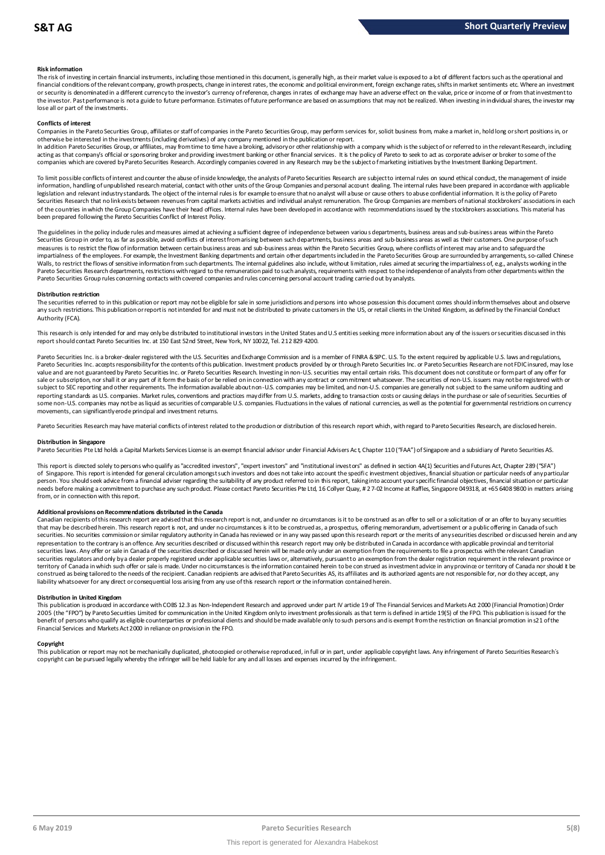### **Risk information**

The risk of investing in certain financial instruments, including those mentioned in this document, is generally high, as their market value is exposed to a lot of different factors such as the operational and financial conditions of the relevant company, growth prospects, change in interest rates, the economic and political environment, foreign exchange rates, shifts in market sentiments etc. Where an investment met.<br>or securit the investor. Past performance is not a guide to future performance. Estimates of future performance are based on assumptions that may not be realized. When investing in individual shares, the investor may lose all or part of the investments.

#### **Conflicts of interest**

Companies in the Pareto Securities Group, affiliates or staff of companies in the Pareto Securities Group, may perform services for, solicit business from, make a market in, hold long or short positions in, or otherwise be interested in the investments (including derivatives) of any company mentioned in the publication or report.

In addition Pareto Securities Group, or affiliates, may from time to time have a broking, advisory or other relationship with a company which is the subject of or referred to in the relevant Research, including acting as that company's official or sponsoring broker and providing investment banking or other financial services. It is the policy of Pareto to seek to act as corporate adviser or broker to some of the<br>companies which a

To limit possible conflicts of interest and counter the abuse of inside knowledge, the analysts of Pareto Securities Research are subject to internal rules on sound ethical conduct, the management of inside<br>information, ha legislation and relevant industry standards. The object of the internal rules is for example to ensure that no analyst will abuse or cause others to abuse confidential information. It is the policy of Pareto Securities Research that no link exists between revenues from capital markets activities and individual analyst remuneration. The Group Companies are members of national stockbrokers' associations in each of the countries in which the Group Companies have their head offices. Internal rules have been developed in accordance with recommendations issued by the stockbrokers associations. This material has been prepared following the Pareto Securities Conflict of Interest Policy.

The guidelines in the policy indude rules and measures aimed at achieving a sufficient degree of independence between variou s departments, business areas and sub-business areas within the Pareto Securities Group in order to, as far as possible, avoid conflicts of interest from arising between such departments, business areas and sub-business areas as well as their customers. One purpose of such measures is to restrict the flow of information between certain business areas and sub-business areas within the Pareto Securities Group, where conflicts of interest may arise and to safeguard the impartialness of the empl The guidelines in the policy indude rules and measures aimed at achieving a sufficient degree of independence between various departments, business areas and sub-business areas within the Pareto<br>Securities Group in order t Pareto Securities Group rules concerning contacts with covered companies and rules concerning personal account trading carried out by analysts.

#### **Distribution restriction**

The securities referred to in this publication or report may not be eligible for sale in some jurisdictions and persons into whose possession this document comes should inform themselves about and observe Pareto Securities Group rules concerning contacts with covered companies and rules concerning personal account trading carried out by analysts.<br>Distribution restriction<br>The securities referred to in this publication or rep Authority (FCA).

This research is only intended for and may only be distributed to institutional investors in the United States and U.S entities seeking more information about any of the issuers or securities discussed in this report should contact Pareto Securities Inc. at 150 East 52nd Street, New York, NY 10022, Tel. 212 829 4200.

Pareto Securities Inc. is a broker-dealer registered with the U.S. Securities and Exchange Commission and is a member of FINRA & SPC. U.S. To the extent required by applicable U.S. laws and regulations, Pareto Securities Inc. accepts responsibility for the contents of this publication. Investment products provided by or through Pareto Securities Inc. or Pareto Securities Research are not FDIC insured, may lose value and are not guaranteed by Pareto Securities Inc. or Pareto Securities Research. Investing in non-U.S. securities may entail certain risks. This document does not constitute or form part of any offer for sale or subscription, nor shall it or any part of it form the basis of or be relied on in connection with any contract or commitment whatsoever. The securities of non-U.S. issuers may not be registered with or subject to SEC reporting and other requirements. The information available about non-U.S. companies may be limited, and non-U.S. companies are generally not subject to the same uniform auditing and subject to the same unif reporting standards as U.S. companies. Market rules, conventions and practices may differ from U.S. markets, adding to transaction costs or causing delays in the purchase or sale of securities. Securities of some non-U.S. companies may not be as liquid as securities of comparable U.S. companies. Fluctuations in the values of national currencies, as well as the potential for governmental restrictions on currency movements, can significantly erode principal and investment returns.

Pareto Securities Research may have material conflicts of interest related to the production or distribution of this research report which, with regard to Pareto Securities Research, are disclosed herein.

#### **Distribution in Singapore**

Pareto Securities Pte Ltd holds a Capital Markets Services License is an exempt financial advisor under Financial Advisers Act, Chapter 110 ("FAA") of Singapore and a subsidiary of Pareto Securities AS.

This report is directed solely to persons who qualify as "accredited investors", "expert investors" and "institutional investors" as defined in section 4A(1) Securities and Futures Act, Chapter 289 ("SFA") Distribution in Singapore<br>Pareto Securities Pte Ltd holds a Capital Markets Services License is an exempt financial advisor under Financial Advisers Act, Chapter 110 ("FAA") of Singapore and a subsidiary of Pareto Securiti person. You should seek advice from a financial adviser regarding the suitability of any product referred to in this report, taking into account your specific financial objectives, financial situation or particular needs before making a commitment to purchase any such product. Please contact Pareto Securities Pte Ltd, 16 Collyer Quay, # 2 7-02 Income at Raffles, Singapore 049318, at +65 6408 9800 in matters arising from, or in connection with this report.

Additional provisions on Recommendations distributed in the Canada<br>Canadian recipients of this research report are advised that this research report is not, and under no dircumstances is it to be construed as an offer to s needs before making a commitment to purchase any such product. Please contact Pareto Securities Pte Ltd, 16 Collyer Quay, #2 7-02 Income at Raffles, Singapore 049318, at +65 6408 9800 in matters arisi<br>from, or in connectio from, or in connection with this report.<br>Additional provisions on Recommendations distributed in the Canada<br>Canadian recipients of this research report are advised that this research report is not, and under no circumstanc securities. No securities commission or similar regulatory authority in Canada has reviewed or in any way passed upon this research report or the merits of any securities described or discussed herein and any representation to the contrary is an offence. Any securities described or discussed within this research report may only be distributed in Canada in accordance with applicable provincial and territorial<br>securities laws. An securities regulators and only by a dealer properly registered under applicable securities laws or, alternatively, pursuant to an exemption from the dealer registration requirement in the relevant province or territory of Canada in which such offer or sale is made. Under no circumstances is the information contained herein to be con strued as investment advice in any province or territory of Canada nor should it be construed as being tailored to the needs of the recipient. Canadian recipients are advised that Pareto Securities AS, its affiliates and its authorized agents are not responsible for, nor do they accept, any liability whatsoever for any direct or consequential loss arising from any use of this research report or the information contained herein.

### **Distribution in United Kingdom**

This publication is produced in accordance with COBS 12.3 as Non-Independent Research and approved under part IV artide 19 of The Financial Services and Markets Act 2000 (Financial Promotion) Order 2005 (the "FPO") by Pareto Securities Limited for communication in the United Kingdom only to investment professionals as that term is defined in article 19(5) of the FPO. This publication is issued for the benefit of persons who qualify as eligible counterparties or professional dients and should be made available only to such persons and is exempt from the restriction on financial promotion in s21 of the Financial Services and Markets Act 2000 in reliance on provision in the FPO.

#### **Copyright**

This publication or report may not be mechanically duplicated, photocopied or otherwise reproduced, in full or in part, under applicable copyright laws. Any infringement of Pareto Securities Research's copyright can be pursued legally whereby the infringer will be held liable for any and all losses and expenses incurred by the infringement.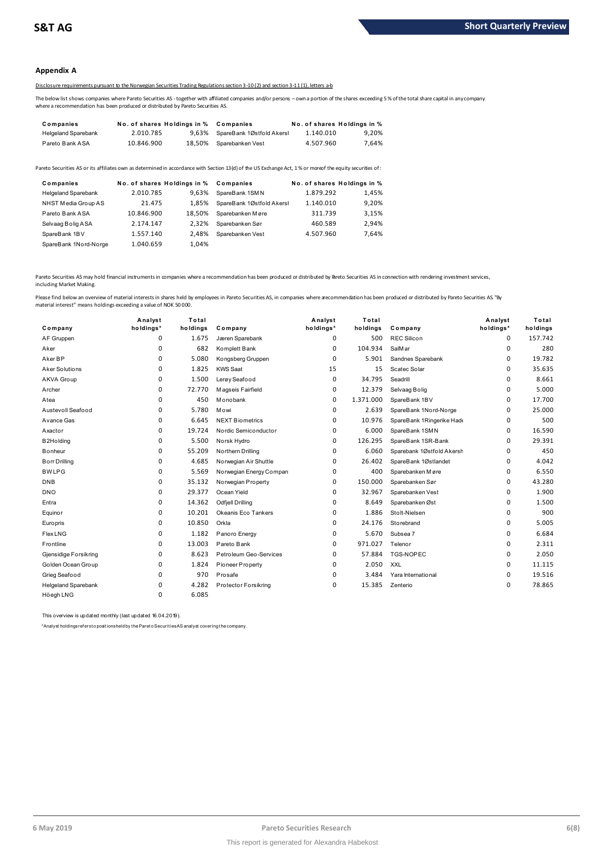# **Appendix A**

# Disclosure requirements pursuant to the Norwegian Securities Trading Regulations section 3-10 (2) and section 3-11 (1), letters a-b

The below list shows companies where Pareto Securities AS -together with affiliated companies and/or persons – own a portion of the shares exceeding 5 % of the total share capital in any company where a recommendation has been produced or distributed by Pareto Securities AS.

| Companies                  | No. of shares Holdings in % |        | Companies                 |           | No. of shares Holdings in % |
|----------------------------|-----------------------------|--------|---------------------------|-----------|-----------------------------|
| <b>Helgeland Sparebank</b> | 2.010.785                   | 9.63%  | SpareBank 1Østfold Akersl | 1.140.010 | 9.20%                       |
| Pareto Bank ASA            | 10.846.900                  | 18.50% | Sparebanken Vest          | 4.507.960 | 7.64%                       |

| <b>I GIGLY DEIIN AVA</b>   | 10.070.JUU                  |        | 10.JU/U ODQIGDQIINGIIVG3L                                                                                                                               | <b>T.JUI.JUU</b>            | 1.0770 |
|----------------------------|-----------------------------|--------|---------------------------------------------------------------------------------------------------------------------------------------------------------|-----------------------------|--------|
|                            |                             |        | areto Securities AS or its affiliates own as determined in accordance with Section 13(d) of the US Exchange Act, 1% or moreof the equity securities of: |                             |        |
| Companies                  | No. of shares Holdings in % |        | Companies                                                                                                                                               | No. of shares Holdings in % |        |
| <b>Helgeland Sparebank</b> | 2.010.785                   | 9.63%  | SpareBank 1SMN                                                                                                                                          | 1.879.292                   | 1,45%  |
| NHST Media Group AS        | 21.475                      | 1.85%  | SpareBank 1Østfold Akersl                                                                                                                               | 1.140.010                   | 9,20%  |
| Pareto Bank ASA            | 10.846.900                  | 18.50% | Sparebanken Møre                                                                                                                                        | 311.739                     | 3,15%  |
| Selvaag Bolig ASA          | 2.174.147                   | 2.32%  | Sparebanken Sør                                                                                                                                         | 460.589                     | 2.94%  |
| SpareBank 1BV              | 1.557.140                   | 2.48%  | Sparebanken Vest                                                                                                                                        | 4.507.960                   | 7.64%  |
| SpareBank 1Nord-Norge      | 1.040.659                   | 1.04%  |                                                                                                                                                         |                             |        |

Pareto Securities AS may hold financial instruments in companies where a recommendation has been produced or distributed by Pareto Securities AS in connection with rendering investment services, including Market Making.

| Company                    | Analyst<br>holdings* | Total<br>holdings | Company                 | Analyst<br>holdings* | Total<br>holdings | Company                   | Analyst<br>holdings* | Total<br>holdings |
|----------------------------|----------------------|-------------------|-------------------------|----------------------|-------------------|---------------------------|----------------------|-------------------|
| AF Gruppen                 | 0                    | 1.675             | Jæren Sparebank         | 0                    | 500               | <b>REC Silicon</b>        | 0                    | 157.742           |
| Aker                       | 0                    | 682               | Komplett Bank           | 0                    | 104.934           | SalMar                    | 0                    | 280               |
| Aker BP                    | 0                    | 5.080             | Kongsberg Gruppen       | 0                    | 5.901             | Sandnes Sparebank         | 0                    | 19.782            |
| Aker Solutions             | $\Omega$             | 1.825             | <b>KWS Saat</b>         | 15                   | 15                | Scatec Solar              | 0                    | 35.635            |
| AKVA Group                 | 0                    | 1.500             | Lerøy Seafood           | 0                    | 34.795            | Seadrill                  | 0                    | 8.661             |
| Archer                     | 0                    | 72.770            | Magseis Fairfield       | 0                    | 12.379            | Selvaag Bolig             | 0                    | 5.000             |
| Atea                       | 0                    | 450               | Monobank                | 0                    | 1.371.000         | SpareBank 1BV             | 0                    | 17.700            |
| Austevoll Seafood          | 0                    | 5.780             | Mowi                    | 0                    | 2.639             | SpareBank 1Nord-Norge     | 0                    | 25.000            |
| Avance Gas                 | 0                    | 6.645             | <b>NEXT Biometrics</b>  | 0                    | 10.976            | SpareBank 1Ringerike Had  | 0                    | 500               |
| Axactor                    | 0                    | 19.724            | Nordic Semiconductor    | 0                    | 6.000             | SpareBank 1SMN            | $\Omega$             | 16.590            |
| B <sub>2</sub> Holding     | 0                    | 5.500             | Norsk Hydro             | 0                    | 126.295           | SpareBank 1SR-Bank        | 0                    | 29.391            |
| <b>B</b> onheur            | 0                    | 55.209            | Northern Drilling       | 0                    | 6.060             | Sparebank 1Østfold Akersh | 0                    | 450               |
| <b>Borr Drilling</b>       | 0                    | 4.685             | Norwegian Air Shuttle   | 0                    | 26.402            | SpareBank 1Østlandet      | 0                    | 4.042             |
| <b>BWLPG</b>               | 0                    | 5.569             | Norwegian Energy Compan | 0                    | 400               | Sparebanken Møre          | 0                    | 6.550             |
| <b>DNB</b>                 | 0                    | 35.132            | Norwegian Property      | 0                    | 150.000           | Sparebanken Sør           | 0                    | 43.280            |
| <b>DNO</b>                 | 0                    | 29.377            | Ocean Yield             | 0                    | 32.967            | Sparebanken Vest          | 0                    | 1.900             |
| Entra                      | $\Omega$             | 14.362            | <b>Odfjell Drilling</b> | 0                    | 8.649             | Sparebanken Øst           | 0                    | 1.500             |
| Equinor                    | 0                    | 10.201            | Okeanis Eco Tankers     | 0                    | 1.886             | Stolt-Nielsen             | 0                    | 900               |
| Europris                   | 0                    | 10.850            | Orkla                   | 0                    | 24.176            | Storebrand                | 0                    | 5.005             |
| FlexLNG                    | 0                    | 1.182             | Panoro Energy           | 0                    | 5.670             | Subsea 7                  | 0                    | 6.684             |
| Frontline                  | 0                    | 13.003            | Pareto Bank             | 0                    | 971.027           | Telenor                   | 0                    | 2.311             |
| Gjensidige Forsikring      | 0                    | 8.623             | Petroleum Geo-Services  | $\Omega$             | 57.884            | <b>TGS-NOPEC</b>          | 0                    | 2.050             |
| Golden Ocean Group         | 0                    | 1.824             | Pioneer Property        | 0                    | 2.050             | <b>XXL</b>                | 0                    | 11.115            |
| Grieg Seafood              | 0                    | 970               | Prosafe                 | 0                    | 3.484             | Yara International        | 0                    | 19.516            |
| <b>Helgeland Sparebank</b> | 0                    | 4.282             | Protector Forsikring    | 0                    | 15.385            | Zenterio                  | 0                    | 78.865            |
| Höegh LNG                  | $\Omega$             | 6.085             |                         |                      |                   |                           |                      |                   |

This overview is updated monthly (last updated 16.04.2019).

\*Analyst holdings ref ers t o posit ions held by t he Paret o Securit ies AS analyst covering t he company.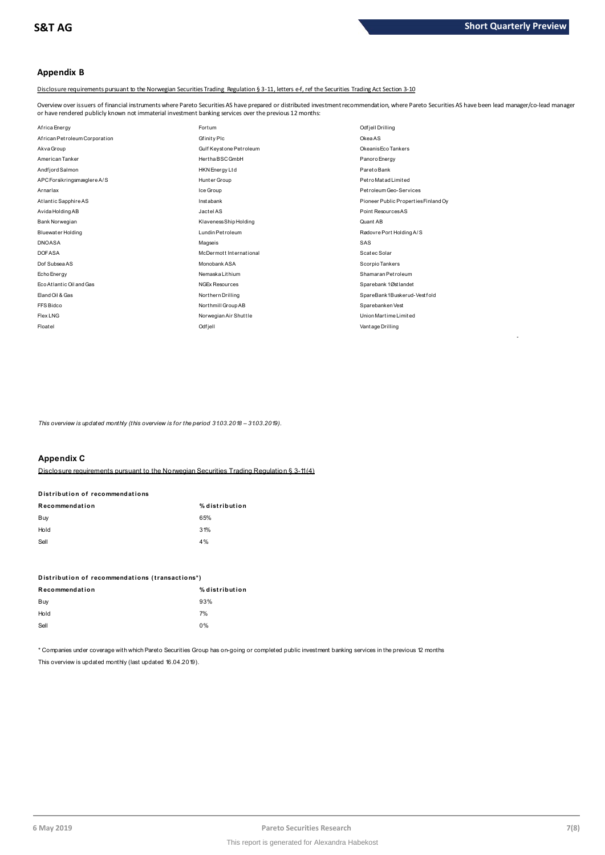-

# **Appendix B**

Disclosure requirements pursuant to the Norwegian Securities Trading Regulation § 3-11, letters e-f, ref the Securities Trading Act Section 3-10

Overview over issuers of financial instruments where Pareto Securities AS have prepared or distributed investment recommendation, where Pareto Securities AS have been lead manager/co-lead manager<br>or have rendered publicly

| or have rendered publicly known not immaterial investment banking services over the previous 12 months: |                         |                                      |
|---------------------------------------------------------------------------------------------------------|-------------------------|--------------------------------------|
| Africa Energy                                                                                           | Fortum                  | Odfjell Drilling                     |
| African Petroleum Corporation                                                                           | Gfinity Plc             | OkeaAS                               |
| Akva Group                                                                                              | Gulf Keystone Petroleum | Okeanis Eco Tankers                  |
| American Tanker                                                                                         | Hertha BSC GmbH         | Panoro Energy                        |
| Andfjord Salmon                                                                                         | HKN Energy Ltd          | Pareto Bank                          |
| APC Forsikringsmæglere A/S                                                                              | Hunter Group            | Petro Matad Limited                  |
| Arnarlax                                                                                                | Ice Group               | Petroleum Geo-Services               |
| Atlantic Sapphire AS                                                                                    | <b>Instabank</b>        | Pioneer Public Properties Finland Oy |
| Avida Holding AB                                                                                        | Jactel AS               | Point Resources AS                   |
| Bank Norwegian                                                                                          | Klaveness Ship Holding  | Quant AB                             |
| <b>Bluewater Holding</b>                                                                                | Lundin Petroleum        | Rødovre Port Holding A/S             |
| <b>DNOASA</b>                                                                                           | Magseis                 | SAS                                  |
| <b>DOFASA</b>                                                                                           | McDermott International | Scatec Solar                         |
| Dof Subsea AS                                                                                           | Monobank ASA            | Scorpio Tankers                      |
| Echo Energy                                                                                             | Nemaska Lithium         | Shamaran Petroleum                   |
| Eco Atlantic Oil and Gas                                                                                | <b>NGEx Resources</b>   | Sparebank 1Østlandet                 |
| Eland Oil & Gas                                                                                         | Northern Drilling       | SpareBank1Buskerud-Vestfold          |
| FFS Bidco                                                                                               | Northmill Group AB      | Sparebanken Vest                     |
| Flex LNG                                                                                                | Norwegian Air Shuttle   | Union Martime Limited                |
| Floatel                                                                                                 | Odfjell                 | Vant age Drilling                    |

*This overview is updated monthly (this overview is for the period 31.03.2018 - 31.03.2019).* 

# **Appendix C**

Disclosure requirements pursuant to the Norwegian Securities Trading Regulation § 3-11 (4)

# **Distribution of recommendations Disclosure requirements pursuant to<br>Distribution of recommendations**<br> $\begin{bmatrix} 0 & 0 \\ 0 & 0 \end{bmatrix}$

| Recommendation | % distribution |
|----------------|----------------|
| Buy            | 65%            |
| Hold           | 31%            |
| Sell           | 4%             |
|                |                |

| ---                                             |                |
|-------------------------------------------------|----------------|
| Distribution of recommendations (transactions*) |                |
| Recommendation                                  | % distribution |
| Buy                                             | 93%            |
| Hold                                            | 7%             |
| Sell                                            | $0\%$          |
|                                                 |                |

\* Companies under coverage with which Pareto Securities Group has on-going or completed public investment banking services in the previous 12 months This overview is updated monthly (last updated 16.04.2019).